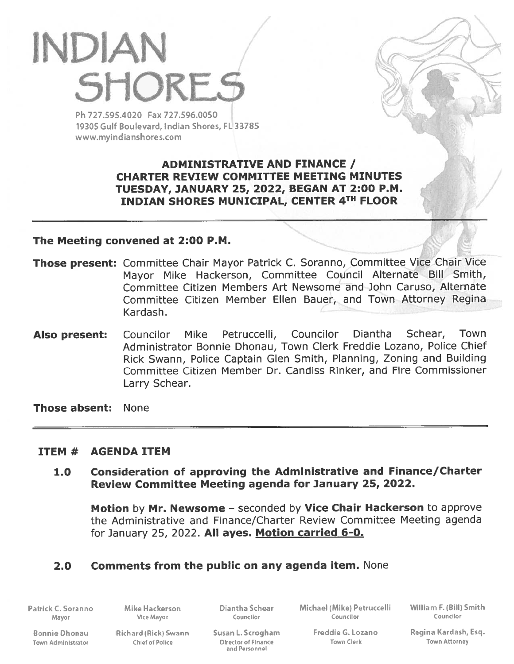# INDIAN **SHORES**

Ph 727595.4020 Fax 727.596.0050 19305 Gulf Boulevard, Indian Shores, FL 33785 www.myindianshores.com

> ADMINISTRATIVE AND FINANCE / CHARTER REVIEW COMMITTEE MEETING MINUTES TUESDAY, JANUARY 25, 2022, BEGAN AT 2:00 P.M. INDIAN SHORES MUNICIPAL, CENTER 4TH FLOOR

/ /

#### The Meeting convened at 2:00 P.M.

- Those present: Committee Chair Mayor Patrick C. Soranno, Committee Vice Chair Vice Mayor Mike Hackerson, Committee Council Alternate Bill Smith, Committee Citizen Members Art Newsome and John Caruso, Alternate Committee Citizen Member Ellen Bauer, and Town Attorney Regina Kardash.
- Councilor Mike Petruccelli, Councilor Diantha Schear, Town Administrator Bonnie Dhonau, Town Clerk Freddie Lozano, Police Chief Rick Swann, Police Captain Glen Smith, Planning, Zoning and Building Committee Citizen Member Dr. Candiss Rinker, and Fire Commissioner Larry Schear. Also present:

Those absent: None

## ITEM # AGENDA ITEM

1.0 Consideration of approving the Administrative and Finance/Charter Review Committee Meeting agenda for January 25, 2022.

Motion by Mr. Newsome - seconded by Vice Chair Hackerson to approve the Administrative and Finance/Charter Review Committee Meeting agenda for January 25, 2022. All ayes. Motion carried 6-0.

# 2.0 Comments from the public on any agenda item. None

Patrick C. Soranno Mike Hackerson Diantha Schear Michael (Mike) Petruccelli William F. (Bill) Smith<br>Mayor Mayor Councilor Councilor Councilor Councilor Mayor Vice Mayor Councllor Counclior Counclior

Town Administrator Chief of Polke Director of Flnane Town Clerk Town Attorney

and Personnel

Bonnie Dhonau Richard (Rick) Swann Susan 1. Scrogham Freddie G. Lozano Regina Kardash, Esq.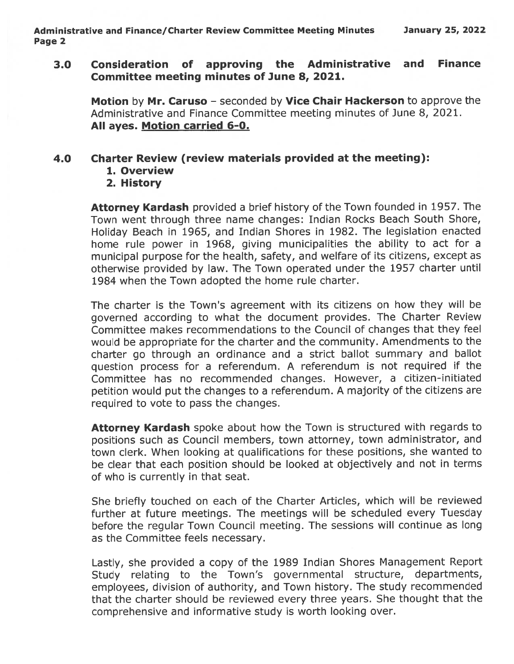#### 3.0 Consideration of approving the Administrative and Finance Committee meeting minutes of June 8, 2021.

Motion by Mr. Caruso - seconded by Vice Chair Hackerson to approve the Administrative and Finance Committee meeting minutes of June 8, 2021. All ayes. Motion carried 6-0.

#### 4.0 Charter Review (review materials provided at the meeting):

- 1. Overview
- 2. History

Attorney Kardash provided a brief history of the Town founded in 1957. The Town went through three name changes: Indian Rocks Beach South Shore, Holiday Beach in 1965, and Indian Shores in 1982. The legislation enacted home rule power in 1968, <sup>g</sup>iving municipalities the ability to act for <sup>a</sup> municipal purpose for the health, safety, and welfare of its citizens, excep<sup>t</sup> as otherwise provided by law. The Town operated under the 1957 charter until 1984 when the Town adopted the home rule charter.

The charter is the Town's agreemen<sup>t</sup> with its citizens on how they will be governe<sup>d</sup> according to what the document provides. The Charter Review Committee makes recommendations to the Council of changes that they feel would be appropriate for the charter and the community. Amendments to the charter go through an ordinance and <sup>a</sup> strict ballot summary and ballot question process for <sup>a</sup> referendum. <sup>A</sup> referendum is not required if the Committee has no recommended changes. However, <sup>a</sup> citizen-initiated petition would pu<sup>t</sup> the changes to <sup>a</sup> referendum. <sup>A</sup> majority of the citizens are required to vote to pass the changes.

**Attorney Kardash** spoke about how the Town is structured with regards to positions such as Council members, town attorney, town administrator, and town clerk. When looking at qualifications for these positions, she wanted to be clear that each position should be looked at objectively and not in terms of who is currently in that seat.

She briefly touched on each of the Charter Articles, which will be reviewed further at future meetings. The meetings will be scheduled every Tuesday before the regular Town Council meeting. The sessions will continue as long as the Committee feels necessary.

Lastly, she provided <sup>a</sup> copy of the 1989 Indian Shores Management Report Study relating to the Town's governmental structure, departments, employees, division of authority, and Town history. The study recommended that the charter should be reviewed every three years. She thought that the comprehensive and informative study is worth looking over.